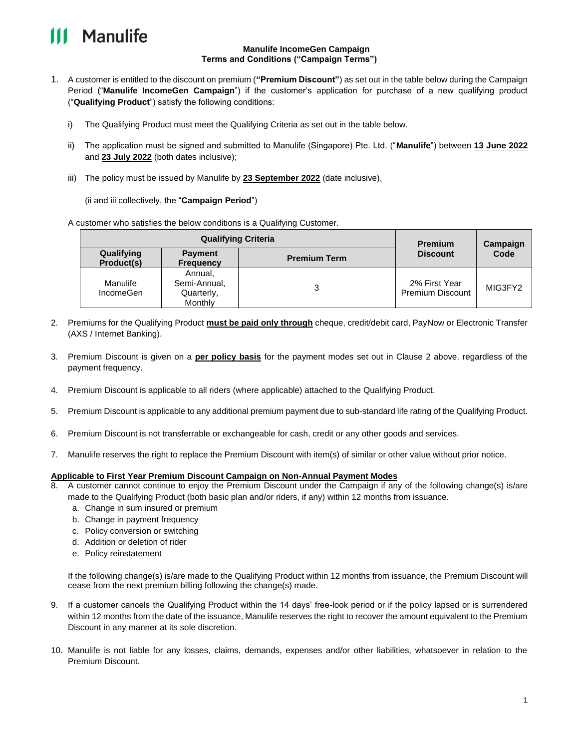## **Manulife**

#### **Manulife IncomeGen Campaign Terms and Conditions ("Campaign Terms")**

- 1. A customer is entitled to the discount on premium (**"Premium Discount"**) as set out in the table below during the Campaign Period ("**Manulife IncomeGen Campaign**") if the customer's application for purchase of a new qualifying product ("**Qualifying Product**") satisfy the following conditions:
	- i) The Qualifying Product must meet the Qualifying Criteria as set out in the table below.
	- ii) The application must be signed and submitted to Manulife (Singapore) Pte. Ltd. ("**Manulife**") between **13 June 2022** and **23 July 2022** (both dates inclusive);
	- iii) The policy must be issued by Manulife by **23 September 2022** (date inclusive),

#### (ii and iii collectively, the "**Campaign Period**")

#### A customer who satisfies the below conditions is a Qualifying Customer.

| <b>Qualifying Criteria</b>   |                                                  |                     | <b>Premium</b>                           | Campaign |
|------------------------------|--------------------------------------------------|---------------------|------------------------------------------|----------|
| Qualifying<br>Product(s)     | <b>Payment</b><br><b>Frequency</b>               | <b>Premium Term</b> | <b>Discount</b>                          | Code     |
| Manulife<br><b>IncomeGen</b> | Annual,<br>Semi-Annual,<br>Quarterly,<br>Monthly |                     | 2% First Year<br><b>Premium Discount</b> | MIG3FY2  |

- 2. Premiums for the Qualifying Product **must be paid only through** cheque, credit/debit card, PayNow or Electronic Transfer (AXS / Internet Banking).
- 3. Premium Discount is given on a **per policy basis** for the payment modes set out in Clause 2 above, regardless of the payment frequency.
- 4. Premium Discount is applicable to all riders (where applicable) attached to the Qualifying Product.
- 5. Premium Discount is applicable to any additional premium payment due to sub-standard life rating of the Qualifying Product.
- 6. Premium Discount is not transferrable or exchangeable for cash, credit or any other goods and services.
- 7. Manulife reserves the right to replace the Premium Discount with item(s) of similar or other value without prior notice.

### **Applicable to First Year Premium Discount Campaign on Non-Annual Payment Modes**

- 8. A customer cannot continue to enjoy the Premium Discount under the Campaign if any of the following change(s) is/are made to the Qualifying Product (both basic plan and/or riders, if any) within 12 months from issuance.
	- a. Change in sum insured or premium
	- b. Change in payment frequency
	- c. Policy conversion or switching
	- d. Addition or deletion of rider
	- e. Policy reinstatement

If the following change(s) is/are made to the Qualifying Product within 12 months from issuance, the Premium Discount will cease from the next premium billing following the change(s) made.

- 9. If a customer cancels the Qualifying Product within the 14 days' free-look period or if the policy lapsed or is surrendered within 12 months from the date of the issuance, Manulife reserves the right to recover the amount equivalent to the Premium Discount in any manner at its sole discretion.
- 10. Manulife is not liable for any losses, claims, demands, expenses and/or other liabilities, whatsoever in relation to the Premium Discount.